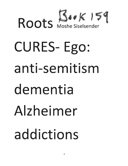# Roots Moshe Siselsender CURES-Ego: anti-semitism dementia Alzheimer addictions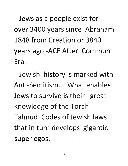**Jews as a people exist for over 3400 years since Abraham**  1848 from Creation or 3840 **years ago -ACE After Common**  Era.

**Jewish history is marked with**  Anti-Semitism. What enables Jews to survive is their great knowledge of the Torah Talmud Codes of Jewish laws **that in turn develops gigantic**  super egos.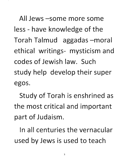All Jews -some more some less - have knowledge of the Torah Talmud aggadas -moral ethical writings- mysticism and codes of Jewish law. Such study help develop their super egos.

Study of Torah is enshrined as the most critical and important part of Judaism.

In all centuries the vernacular used by Jews is used to teach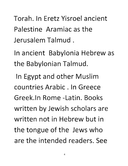Torah. In Eretz Yisroel ancient Palestine Aramiac as th Jerusalem Talmud.

**In ancient Babylonia Hebrew as the Babylonian Talmud.** 

In Egypt and other Muslim countries Arabic. In Greece Greek.ln **Rome** -Latin. Books written by Jewish scholars are written not in Hebrew but in the tongue of the Jews who are the intended readers. See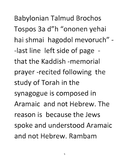**Babylonian Talmud Brochos** Tospos 3a d"h "ononen yehai hai shmai hagodol mevoruch" -- last line left side of page that the Kaddish -memorial prayer-recited following the study of Torah in the synagogue is composed in Aramaic and not Hebrew. The reason is because the Jews spoke and understood Aramaic and not Hebrew, Rambam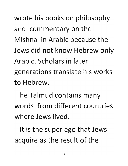**wrote his books on philosophy and commentary on the**  Mishna in Arabic because the **Jews did not know Hebrew only**  Arabic. Scholars in later generations translate his works to Hebrew.

**The Talmud contains many**  words from different countries where Jews lived.

It is the super ego that Jews acquire as the result of the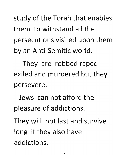study of the Torah that enables them to withstand all the **persecutions visited upon them**  by an Anti-Semitic world.

They are robbed raped exiled and murdered but they persevere.

Jews can not afford the pleasure of addictions.

**They will not last and survive**  long if they also have addictions.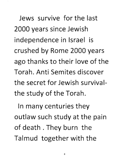Jews survive for the last **2000 years since Jewish ind pendence in Israel is crushed by Rome 2000 years**  ago thanks to their love of the Torah. Anti Semites discover the secret for Jewish survival**the study of the Torah.** 

**In many centuries they outlaw such study at the pain of death. They burn the Talmud together with the**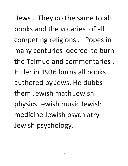**Jews. They do the same to all** books and the votaries of all **competing religions. Popes in**  many centuries decree to burn the Talmud and commentaries. Hitler in 1936 burns all books authored by Jews. He dubbs them Jewish math Jewish physics Jewish music Jewish **medicine Jewish psychiatry Jewish psychology.**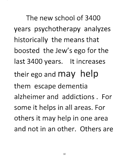The new school of **3400 years psychotherapy analyzes historically the mans that boosted the Jew's ego for the**  last **3400** years. It increases **their ego and may help**  them escape dementia alzheimer and addictions. For some it helps in all areas. For **others it may help in one area**  and not in an other. Others are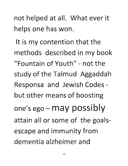not helped at all. What ever it helps one has won.

It is my contention that the methods described in my book "Fountain of Youth" - not the study of the Talmud Aggaddah Responsa and Jewish Codes but other means of boosting one's ego - may possibly attain all or some of the goalsescape and immunity from dementia alzheimer and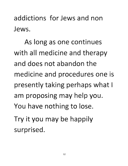addictions for Jews and non Jews.

**As long as one continues**  with all medicine and therapy and does not abandon the medicine and procedures one is **presently taking perhaps what I am proposing may help you. You have nothing to lose.**  Try it you may be happily surprised.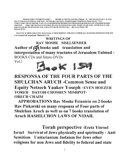MOSHE EMET VETOROTO EMET - MOSHE IS TRUTH AND HIS TORAH IS TRUTH GIVEN BY G-D AND SUCH TORAH IS ETERNAL AND WILL NEVER BE CHANGED- MAIMONIDES THIRTEEN PRINCIPLES 7 TO 9 TORAT EMET HOISO BEFIHU VAIN AVLO BISPHOSOPH BESHOLOM UBEMISHMOR HOLOCH ITI VERABIM HASHIV MEOVON - TORA TRUTH WAS IN HIS MOUTH AND NO INEQUITIES-LIES -WERE ON HIS LIPS . WITH PEACE AND EQUITY DID HE GO WITH ME AND A MULTITUDE OF PEOPLE DID HE SAVE FROM SIN MELACHI2:6

HALO OV ECHOD LEKULONU HALO KAIL ECHOD BORONU-FOR ONE FATHER ALL MANKIND POSSESSES FOR ONE G-D created all mankind -Melachi 2:10

WRITINGS OF RAV MOSHE SISELSENDER Author of  $\mathcal{H}$  books and translation and interpretation of many tractates of Jerusalem Talmud -BOOKS CDs and future-DVDs Vol.l



# RESPONSA OF THE FOUR PARTS OF THE SHULCHAN ARUCH -Common Sense and Equity Netzech Yaakov Yoseph -EVEN HOEZER YOREH DAYOH-CHOSHEN MISHPOT-ORECH CHAIM

APPROBATIONS Rav Moshe Feinstein on 2 books Rav Piekarski on many responsa of Four parts of Shulchan Aruch as well as on 7 books translation of Aruch HASHILCHON LAWS OF NIDAH.

Torah perspective -Eretz Yisroel Israel Survival of Jews physically and spiritually - Anti Semitism Unitarianism Judaism for Jews other religions for non Jews and fidelity to federal and state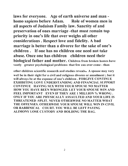laws for everyone. Age of earth universe and man homo sapiens before Adam. Role of women men in all aspects of Judaism Family law. Sanctity of and preservation of ones marriage -that must remain top priority in one's life that over weighs all other considerations. Respect love and fidelity. A bad marriage is better than a divorce for the sake of one's children. If one has no children one need not take abuse. Once one has children children need their biological father and mother. Children from broken homes have vastly greater psychological problems- that few can over come - than

other children scientific research and studies reveals. A spouse may very well be in their right for a civil and religious divorce or annulment; but it will always be at the expense of one's children. FORGIVE CONTINUE EXHIBITING LOVE UNDERSTANDING AND FINANCIAL SUPPORT CONTINUE HAVING SEX WITH YOUR SPOUSE NO MATTER HOW YOU HAVE BEEN WRONGED. LET YOUR SPOUSE WIN AND FEEL IMPORTANT EVEN IF THEY ARE 1 MILLION % WRONG. ONLY IF YOU ARE PHYSICALLY ASSAULTED AND YOUR LIFE IS THREATENED -SPLIT. NEVER OTHERWISE NO MATTER WHAT THE OFFENSES. OTHERWISE YOUR SPOUSE WILL WIN IN CIVIL OR RABBINICAL COURT. YOU WILL BE LEFT PAYING ALIMONY LOSE CUSTODY AND HOLDING THE BAG.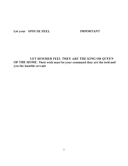Let your SPOUSE FEEL IMPORTANT

LET HIM/HER FEEL THEY ARE THE KING OR QUEEN OF THE HOME. Their wish must be your command they are the lord and you the humble servant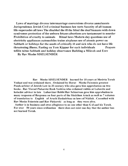Laws of marriage divorce intermarriage conversions divorce annulments Jurisprudence Jewish Civil criminal business law torts Sanctity of all human life-supercedes all laws The disabled the ill the blind the deaf humans with down syndromes protection of the unborn fetuses abortions are tantamount to murder Prohibition of cruelty to animals Ritual laws Modern day questions use of electricity appliances automobiles trains airplanes use of atomic power on Sabbath or holidays for the needs of critically ill and sick who do not have life threatening illness. Fasting on Yom Kippur for such individuals Prayers tefilin tzitus Sabbath and holiday observance Building a Mikveh and Erev

By Rav Moshe SISELSENDER

Rav Moshe SISELSENDER learned for 10 years at Mesivta Torah Vodaat and was ordained there. Ordained by Horav Moshe Feinstein greatest Posek-arbiter of Jewish Law in 20 century who also gave him approbation on two books. Rav Yisroel Piekarski Rosh Yeshiva who ordained rabbis at Lubavitz and halachic advisor to late Lubavitzer Rebbi Rav Schnerson gave him approbation to many responsa of Responsa on four parts of the Shulchan Aruch as well as 7 volumes of translation to English of Aruch Hashulchon on laws of Niddah . Consulted with Rav Moshe Feinstein and Rav Piekarski as long as they were alive.

Author is in business and owes allegiance to no one other than G-d and his Torah. For over 50 years since ordination there does not exist one day that the author has not learned Torah.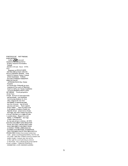WRITINGS OF RAV MOSHE **SISELSENDER** Author of the books and of many tractates of Jerusalem Talmud - BOOKS CDS and future DVDS VOLI Responsa on FOUR PARTS OF THE SHULCHAN ARUCH WITH COMMON SESNSE AND EQUITY-Netzech Yaakov Yoseph -EVEN HAWSER YOREH DAYOH-CHOSHEN MISHPOT-ORECH CHAIM **APPROBATIONS Rav Moshe** Feinstein on 2 hooks Rav Piekarski on many responsa of Four parts of Shulchan Aruch as well as on 7 hooks translation of Aruch HASHILCHON LAWS OF NIDAH. Torab perspective -Fretz Visro I Israel Survival of Jews physicallyand spiritually - Anti Semitism Unitarianism Judaism for Jews other religions for non Jews and fidelity to federal and state laws for everyone. Age of earth universe and man - homo sapiens before Adam. Role of women men in all aspects of Judaism Family law Sanctity of and preservation of ones marriage-that must remain top priorit y in one's life that over weighs all othe r considerations. Respect love and fidelity. A TERRIBLE marriage is hetter than a divorce for the sake of one's children. IF ONE HAS NO CHILDREN ONE DOES NOT HAVE TO TAKE ABUSE ONCE ONE HAS CHILDREN CHILDREN NEED A FAMILY WITH A BIOLOGICAL FATHER AND MOTHER .OTHERWISE THE CHILDREN HAVE PSYCHOLOGICAL PROBLEMS Children from broken homes have vastly greater psychological problems- that few can over come - than other children scientific research and studies reveals. A spouse may very well be in their right for a civil and religious divorce or annulment, but it will always be at the expense of one's children . FORGIVE CONTINUE EXHIBITING LOVE UNDERSTANDING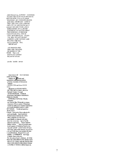AND FINANCIAL SUPPORT CONTINUE HAVING SEX WITH YOUR SPOUSE NO MATTER HOW YOU HAVE BEEN WRONGED LET YOUR SPOUSE WIN AND FEEL IMPORTANT EVEN IF THEY ARE I MILLION % WRONG ONLY IF YOU ARE PHYSICALLY ASSAULTED AND YOUR LIFE IS THREATENED -SPLIT. NEVER OTHERWISE NO MATTER WHAT THE OFFENSES. OTHER WISE YOUR SPOUSE WILL WIN IN CIVIL OR RABBINICAL COURT YOU WILL BE LEFT PAYING ALIMONY LOSE CUSTODY AND HOLDING THE BAG Let you rSPOUSE FEEL **IMPORTANT** LET HIM/HER FEEL THEY ARE THE KING OR OUEEN OF THE HOME. Their wish must be your command they are the lord and you the humble servant WRITINGS OF RAV MOSHE SISELSENDER<br>Author of Mooks and<br>translation and interpretation of many tractates of Jerusalem Talmud - BOOKS CDS and future DVDS **VOLI Responsa on FOUR PARTS** OF THE SHULCHAN ARUCH -Netzech Yaakov Yoseph -EVEN HAWSER YOREH DAYOH-CHOSHEN MISHPOT-**ORECH CHAIM APPROBATIONS Rav Moshe** Feinstein on 2 books Rav Piekarski on many responsa of Four parts of Shulchan Aruch as well as on 7 books translation of Aruch HASHILCHON LAWS OF NIDAH. Torah perspective -Eretz Yisro I Israel Survival of Jews physicallyand spiritually - Anti Semitism Unitarianism Judaism for Jews other religions for non Jews and fidelity to federal and state laws for everyone. Age of earth<br>universe and man - homo sapiens before Adam. Role of women men in all aspects of Judaism Family law . Sanctity of and preservation of ones marriage-that must remain top priorit y in one's life that over weighs all othe r considerations. Respect love and fidelity. A TERRIBLE marriage is better than a divorce for the sake of one's children . IF ONE HAS NO CHILDREN ONE DOES NOT HAVE TO TAKE ABUSE ONCE ONE HAS CHILDREN CHILDREN NEED A FAMILY WITH A BIOLOGICAL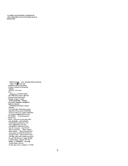FATHER AND MOTHER .OTHERWISE THE CHILDREN HAVE PSYCHOLOGICAL **PROBLEMS** 

WRITINGS OF RAV MOSHE SISELSENDER<br>Author of **T** books and<br>translatiou and interpretation<br>of many tractates of Jerusalem<br>many tractates of Jerusalem Talmud<br>- BOOKS CDS DVDS VOLI Responsa on FOUR PARTS OF THE SHULCHAN ARUCH **Common Sense and Equity** -Netzech Yaakov Yoseph -EVEN HAWSER YOREH DAYOH-CHOSHEN MISHPOT-ORECH CHAIM **APPROBATIONS Rav Moshe** Feinstein on 2 books Rav Piekarski on many responsa of Four parts of Sbulchau Aruch as well as on 7 books translation of Arach HASHILCHON LAWS OF NIDAH. Torah perspective -Eretz Yisro I Israel Survival of Jews physicallyand spiritually - Anti Semitism Unitarianism Judaism for Jews other religions for non Jews and fidelity to federal and state have for everyone. Age of earth<br>inverse and man - homo sapiens<br>before Adam. Role of women men in all aspects of Judaism Family law Sanctity of and preservation of ones<br>marriage -that must remain top priorit y in one's life that over weighs all othe r considerations. Respect love and fidelity. A TERRIBLE marriage is better than a divorce for the sake of one's children. IF ONE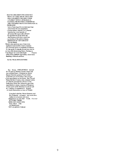HAS NO CHILDREN ONE DOES NOT **HAVE TO TAKE ABUSE ONCE ONE** HAS CHILDREN CHILDREN NEED A FAMILY WITH A BIOLOGICAL FATHER AND MOTHER .OTHERWISE THE CHILDREN HAVE PSYCHOLOGICAL **PROBLEMS** Laws of marriage divorce intermarriage conversions divorce annulment s Jurisprudence Jewish Civil criminal business law torts Sanctity of all human life-supercedes all lawS The disabled the ill the blind the deaf humans with down syndrome s protection of the unborn fetuses ABORTION IS TANTAMOUNT **TO MURDER** Modern day questions use of electricity appliances automobiles trains airplanes use of atomic power on Sabbath or holidays for the needs of critically ill and sick who do not have life threatening illness. Fasting on Yom Kippur for such individuals Prayers tefilio tzitus Sabbath and holiday observance **Building a Mikveh and Erev** 

By Rav Moshe SISELSENDER

Rav Moshe SISELSENDER learned for 10 years at Mesivta Torah Vodaat and was ordained there. Ordained by Horav Mosbe Feinstein greatest Posek-arbiter of Jewish Law in 20 century who also gav e bim approbation on two books. Ray Yisroel Piekarski Rosb Yeshiva who ordained rabbis at Lubavitz and halachic advisor to late Lubavitzer Rebbi Rav Schnerson gave him approbation to many responsa of Responsa on four parts of the Sbulchan Aruch as well as 7 volumes of translation to English of Aruch Hasbulchon on laws of Niddah

> Consulted with Rav Mosbe Feinstein and Rav Piekarski as long as they were alive. Author is in business and owes allegiance to no one other Torah. For over 50 YEARS THERE DOES NOT EXIST ONE<br>DAY THAT THE **AUTHOR HAS** NOT LEARNED TORAH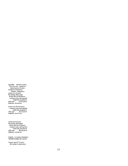equitable Solutions author<br>-20 books and translation interpretation of many tractates of Jerusalem Talmud - Integration Jewish Law Science Psychology Philosophy Jewish and World history common sense and equitabl within the parameters<br>year Divine given 4000 year Hallacha-Jewish law

Jewish and World history common sense and equitabl within the parameters<br>
year Divine given 4000 year Divir<br>Hallacha -Jewish law

Jewish Law Science Psychology Philosophy<br>Jewish and World history common sense and equitabl within the parameters  $4000$  year Divine given Hallacha -Jewish law

### YOREH DAYOH-CHOSHEN MISHPOTORECH CHAIM

Science and 21st Century life reality by observance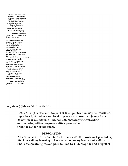Biblical Rabbinical Laws **Suggested Common Sense** equitable Solutions author -20 books and translation interpretation of many tractates of Jerusalem Talmud - Integration Jewish Law Science Psychology Philosophy Jewish and World bistory common sense and equitabl within the parameters 4000 year Divine given Hallacha-Jewish law **Rav MosheSISELSEBDER** ordained and approbation Ray Moshe Feinstein Ray Piekarski Approbation on **Responsa Four Parts** SHULCHAN ARUCH--EVEN HOEZER YOREH DAYOH-CHOSHEN MISHPOTORECH CHAIM **RAV MOSHE SISELSENDERConsequences Conflicts** Science and 21" Century life reality by observance Biblical Rabbinical Laws **Suggested Common Sense** equitable Solutions author -20 books and translation interpretation of many tractates of Jerusalem **Talmud** - Integration Jewish Law Science Psychology Philosophy Jewish and World history common sense and equitabl within the parameters 4000 усаг Divine given Hallacha-Jewish law

### copyright (c)Moses SISELSENDER

1999. All rights reserved. No part of this publication may be translated, reproduced, stored in a retrieval system or transmitted, in any form or by any means, electronic mechanical, photocopying, recording or otherwise, without express written permission from the author or his estate.

### **DEDICATION**

All my books are dedicated to Niramy wife-the crown and jewel of my life. I owe all my learning to her dedication to my health and welfare. She is the greatest gift ever given to me-by G-d. May she and I together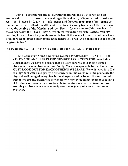with all our children and all our grandchildren and all of Israel and all humans all over the world regardless of race, religion, creed color or sex be blessed by G-d with life, peace and freedom from fear of any crime or terrorism with excellent health, make sufficient money to cover all their needs and<br>live to the coming of the Messiah and then live for ever- as tradition teaches. As live to the coming of the Messiah and then live the ancient sage-the Tana Rav Akiva stated regarding his wife Rachael "all my learning I owe to her all my achievement is hers if it was not for her I would not have been here teaching and sharing my knowledege of Torah. All honors of Torah should be given to her" .

### 18 IN HEBREW -CHET AND YUD - OR CHAI-STANDS FOR LIFE

Life is the over riding and prime concern for Jews SINCE DAY  $1 - 4000$ YEARS AGO AND LIFE IS THE NUMBER 1 CONCERN FOR Jews today. Consequently we have to declare that all Jews regardless of their degree of observance or non observance are family. We are responsible for each other. WE MUST LOOK OUT FOR EACH OTHER'S WELFARE. We will leave it to G-d to judge each Jew's religiosity. Our concern in this world must be primarily the physical well being of every Jew in the diaspora and in Israel. It is our sacred duty to ensure and guarantee Jewish unity. Only by banding together as a band of brothers and sisters will we be able to survive the anti Semitism that keep cropping up from every corner each year a new face and a new threat to our existence.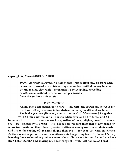### copyright (c)Moses SISELSENDER

1999 . All rights reserved. No part of this publication may be translated, reproduced, stored in a retrieval system or transmitted, in any form or by any means, electronic mechanical, photocopying, recording or otherwise, without express written permission from the author or his estate.

### DEDICATION

All my books are dedicated to Nira- my wife -the crown and jewel of my life. I owe all my learning to her dedication to my health and welfare. She is the greatest gift ever given to me-by  $G-d$ . May she and I together with all our children and all our grandchildren and all of Israel and all humans all over the world regardless of race, religion, creed color or sex be blessed by  $G-d$  with life, peace and freedom from fear of any crime or terrorism with excellent health, make sufficient money to cover all their needs and live to the coming of the Messiah and then live for ever- as tradition teaches. As the ancient sage-the Tana Rav Akiva stated regarding his wife Rachael "all my learning I owe to her all my achievement is hers if it was not for her I would not have been here teaching and sharing my knowledege of Torah. All honors of Torah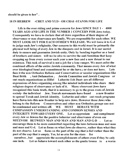### 18 IN HEBREW -CHET AND YUD - OR CHAI -STANDS FOR LIFE

Life is the over riding and prime concern for Jews SINCE DAY  $1 - 4000$ YEARS AGO AND LIFE IS THE NUMBER 1 CONCERN FOR Jews today. Consequently we have to declare that all Jews regardless of their degree of observance or non observance are family. We are responsible for each other. WE MUST LOOK OUT FOR EACH OTHER'S WELFARE. We will leave it to G-d to judge each Jew's religiosity. Our concern in this world must be primarily the physical well being of every Jew in the diaspora and in Israel. It is our sacred duty to ensure and guarantee Jewish unity. Only by banding together as a band of brothers and sisters will we be able to survive the anti Semitism that keep cropping up from every corner each year a new face and a new threat to our existence. This task of survival is not a job for a lone ranger. We must enlist the combined efforts of the entire Jewish community. That means every Jew of what ever ideological bend and commitment he or she have.; or does not have. Lets face it the non Orthodox Reform and Conservatives or secular organizations like Bnai Brith , Anti Defamation, Jewish Committee and Jewish Congress or out reach organizations as Hillel Lubavitz Esh Daat- are all different expressions of Jews organizing among like minded individuals who share their religious degree of observance or lack of it. Many observant Jews have recognized this basic truth, that it is necessary to go to the grass roots of Jewish society- the individual Jew. Tsuvah movements have found a new frontier to spread Torah and Jewish identity. Lubavitz and other out reach programs have flown into this new frontier to help save Jews. However those Jews who belong to the Reform Conservatives and other non Orthodox groups can not be condemned and written off. WE MUST BEHAVE WITH COMPASSION UNDERSTANDING AND COMMON SENSES AND INTEGRITY TOWARD EVERY ONE. Let us appreciate and compliment every Jew or Jewess for the positive behavior and observance of even one MITZVOH BETWEEN MAN AND MAN AND MAN AND G-D . Let us encourage them to be more committed regarding the laws between man and man and man and G-d. Let us focus on what Jews do observe, rather than what they do not observe. Let us focus on the part of the cup that is full rather than the part of the cup that is empty. Yes, let us aim for the stars for ourselves, but appreciate the accomplishments of others even if they be only

one inch. Let us behave toward each other as the gentle breeze in a warm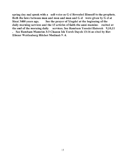spring day and speak with a soft voice as  $G-d$  Revealed Himself to the prophets. Both the laws between man and man and man and G-d were given by G-d at Sinai 3400 years ago. See the prayer of Yiogdol at the beginning of the daily morning services and the 13 articles of faith-the anni mamins- recited at the end of the morning daily services. See Rambam Yesodei Hatorah 9,10,11 . See Rambam Mamrim 3:3 Chazon Ish Yoreh Dayoh 13:16 as cited by Rav Eliezer Walden berg Hilchot Medinah 9 :4.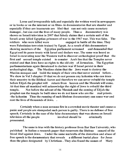Loose and irresponsible talk and especially the written word in newspapers or in books or on the internet or on films- in documentaries that are slander and especially if they are inaccurate are libel that can not only cause monetary damages, but can cost the lives of many people. Thus a documentary was shown on Israeli television in 2007 that falsely claims that a certain unit of the Israeli army killed Egyptian prisoners of war in the 1967 war. This was false. The soldiers who were killed were engaged in battle all the time. They were Palestinian terrorists trained by Egypt. As a result of this documentary showing members of the Egyptian parliament screamed and demanded that Egypt end its peace treaty with Israel and declare war. The same was heard as Israel is excavating near the Western wall to discover archeological proof that the first and second temple existed to counter Arab lies that the Temples never to counter Arab lies that the Temples never existed and that Jews have no rights to the old city of Jerusalem. The Egyptian parliamentarians again threatened to declare war if Israel persist in their archeological digs. The Muslims claim that the Jews want to destroy the Muslim mosques and build the temple of their own that never existed before.. We show in Vol 3 chapter 19 that we do not possess any kohanim who can trace their ancestry to the Biblical Aaron and therefore we can never rebuild the temple before Elijah the prophet will return from heaven and the Messiah will come. At that time all mankind will acknowledge the right of Jews to rebuild the third temple. Not before the advent of the Messiah and the coming of Elijah the prophet can the temple be built since we do not know who are the real priests. -the kohanim Thus the running of such libelous documentary can cause war and cost the lives of thousands of Jews. .

Certainly when a man screams fire in a crowded movie theater and causes a panic and people are stampeded such person is guilty. There is no defense of free speech. Certainly in the case of the false documentary that was shown on Israeli television all the people involved should be criminally prosecuted.

The same is true with the history professor from Bar Ilan University, who published in Italian a research paper that resurrects the libelous canard of the blood libel against Jews. Under the same umbrella of the distortion and abuse of free speech is the documentary that reveals a different burial place for Jesus than the place designated by Christians. They also found the names of Mary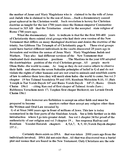the mother of Jesus and Mary Magdelana who is claimed to be the wife of Jesus and Judah who is claimed to be the son of Jesus...Such a documentary caused great upheaval in the Christian world. Such revelation is heresy for Christian doctrine as taught for the last 1700 years since the Roman emperor Constantine decreed in 315 AD that the Trinitarian creed be the accepted state religion of Rome 1700 years

What the documentary fails to indicate is that for the first  $300-400$  years of Christianity there existed rival groups who had their own version of the New Testament that differs on many theological doctrines and denies the doctrine of the trinity. See Gibbons The Triumph of of Christianity page 8. These rival groups could have buried different individuals in the vaults discovered 25 years ago in Jerusalem and written the names of Jesus Mary Mary Magdelana Judah and Mathew. Theyalso had different versions of the New Testament that vindicated their doctrinairian positions . The Muslims in the year 650 adopted the doctrinairian position of the rival Christian groups. All people merit Otem Habo -the world to come. As long as they do not coerce others to observe their faith and observe the seven Nohadite principles of belief in G-d and do not violate the rights of other humans and are not cruel to animals and establish courts of law to enforce these laws they will merit olem habo -the world to come. See vol 3 chapter 19 See Talmud Sanehdrin 59 and 105; Rambam Melochim 8:10, 11; Bais Yoseph in Tur Yoreh Dayoh 147 and Ramo Yoreh Dayoh 147:3; Ramo Orech Chaim 156:1 - citing Ran end of first chaper of Talmud Avodo Zoro; Rabbenyu Yeruchem nesiv 17; Tosphos first chaper Bechorot; see Levush Orech Chaim 156:1

Jews however are forbidden to accept an other faith and must be prepared to become martyrs rather than accept any religion other than the Written and Oral Law revealed by

G-d at Sinai 3400 years ago in front of millions of Jews. This law is today summarized in the four parts of the Shulchan Aruch. See a little further on in this introduction where I go into greater detail. See vol 1 chapter 34 for proof of the authenticity of our religion and vol 3 chapter 19.. See responsa Radvaz and Rambam Yesodei Hatorah chapters 4,5,6,7, 8,9,10 ;Yoreh Dayoh chapter 157:1 .

Certainly there exists no DNA that was taken 2000 years ago from the individuals involved. DNA did not exist then. All that was discovered was a burial plot and names that are found in the New Testament. Only Christians are the sole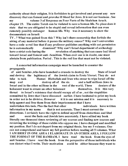authority about their religion. It is forbidden to get involved and present any new discovery that can foment and provoke ill blood for Jews. It is not our business. my volume 3 of Responsa on Four Parts of the Shulchan Aruch. chapter 19. The entire Torah can be violated to save a human life. No place does it state that we are obligated to be stupid and reveal information that can even remotely possibly endanger human life. Why was it necessary to show the documentary on Israeli

TV . ? What was gained from this? Why isn't there censorship that forbids the airing of any material before it passes the military censor? Why can't universities have a code -a red line that if any professor publishes anything with out permission he is automatically dismissed? Why can't Israel department of archeology have a strict code baring the revelation of anything that can cause bad blood toward Israel and foment anti -Semitism. When ever one is in doubt, one must abstain from publication. Period. This is the red line that must not be violated.

A concerted information campaign must be launched to counter the propaganda

of anti Semites ,who have launched a crusade to destroy the State of Israel and destroy the legitimacy of the Jewish claim to Eretz Yisroel. They do not take to task Hamas Hizbullah and Iran who swear to wipe Israel off the map and destroy all of the six and a half millions Jews in Israel and in the other miHions in the rest of the world. These deniers of the holocaust want to create an other holocaust themselves. It is this very threat to Israel's existence that should occupy all of us , not the stupidities committed by Jews that I have discussed earlier. I have hesitated to print my book in order not to be divisive. However it it is our mission and it is necessary to help agunot and free them from their imprisonment that I have undertaken this task. Plus the fact that other individuals have written information in my name that is not accurate. Thus I must correct the distortions. I certainly have the right to defend myself from distortions and libel and esent the facts and Jewish laws accurately. I have edited my book literally one thousand times reviewing all my sources and finding new sources and reviewing the writings of those rabbis who oppose me. I have changed and modified my position. But I do not depart from my original thesis. See my 5 volumes. One can not comprehend and know my full position before reading all 5 volumes. What I AM BRIEF IN ONE AREA I ELABORATE IN AN OTHER AREA. I FOLLOW THE FORMAT OF THE RAMBAM. I have read the book from the eyes of anti Semites. I have read the book from the perspective of those individuals who can distort what I write. Their motivation could be either because they want to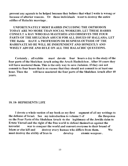prevent any agunah to be helped because they believe that what I write is wrong or because of ulterior reasons. Or those individuals want to destroy the entire edifice of Halachic marriage.

UNFORTUNATELY MOST RABBIS INCLUDING ORTHODOX TODAY ARE NO MORE THAN SOCIAL WORKERS. LET THESE RABBIS CONSULT A RAV WHO HAS MASTERED AND OBSERVES THE FOUR PARTS OF THE SHULCHAN ARUCH FOR ALL ISSUES OF HALLAHA. LET THE Rabbi HAVE A PROFESSION OR BUSINESS OUTSIDE OF THE RABBINATE SO HE WILL BE INDEPENDENT AND HONESTLY AND WISELY ADVISE AND RULE ON ALL THE HALACHIC QUESTIONS.

Certainly. all rabbis must devote four hours a day to the study of the four parts of the Shulchan Aruch using the Aruch Hashulchon . After 10 years they will have mastered them. This is the only way to save Judaism. If they can not commit to four hours that is no excuse that they should not commit to at least one hour. Then the will have mastered the four parts of the Shulchan Aruch after 40 years.

### 18.18- REPRESENTS LIFE

I devote a whole section of my book as my first segment of all my writings to the defense of Israel. See my introduction to volume 1 of the Responsa on the Four Parts of the Shulchan Aruch -to the legitimacy of the Jewiih claim to Ertetz Yisroel and the right of the free world to defend themselves against the terrorist war to conquer the world and convert everyone to their brand of Islam or else kill and destroy every human who differs from them. We must destroy the ability of Iran to develop atomic weapons.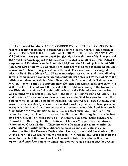The future of Judaism CAN BE ASSURED ONLY IF THERE EXISTS Rabbis who will commit themselves to master and observe the four parts of the Shulchan Aruch. ONLY SUCH RABBIS ARE AUTHORIZED TO RULE ON ANY LAW OF Judaism. Any representation of Judaism that lacks the laws of the four parts of the Shulchan Aruch applied to fit the cases presented is an other religion Radvaz in responsa and Rambam Yesodei Hatorah 9,10,11and the 13 basic principles of faith. The Oral Law given by G-d at Sinai 3400 years ago was written in manuscripts and transmitted from one generation to the next. They were known as megilot nistorot Rashi Bava Metzia 92a. These manuscripts were edited and the conflicting laws voted upon and a common law and equitable law approved by the Rabbis of the Mishne and then the Rabbis of the Gemorah. The Mishne and the Talmud was written over a period of approximately 400 years and completed approximately in 400 ACE. Then followed the period of the Rabbonei Savroye, the Gaonim , the Rishonim and the Achronim. AU the laws of the Talmud were summarized and codified by The Riff the Rambam the Rosh Tur Bais Yoseph and Ramo.. The codification of Bais Yoseph and Ramo is known as the Shulchan Aruch-. It is the summary of the Talmud and all the responsa -that answered all new questions that arose over thousands of years were responded based on precedents from previous accepted authorities. AU are summarized in the four parts of the Shulchan Aruch. Commentaries arose like Bais Shmule Chelkos Mechokek Gro and Taz on Even Hoehzer ; Shach and Taz, Gro Bair Haitiv and Bair Hagolo Pri Chodosh and Pri Megodon on Yoreh Dayoh ; the Shach, Taz, Sma, Ktzos Hachoshen, Nesivot, Gro, Bair Hagolo Bair Haitiv on Choshen Mishpot; Taz and Mogen Avrohom on Orech Chaim. These are only a fraction of the commentaries that exist. Later authorities wrote additional summaries and codifications as the Lubavitzer Rebi the Tzemech Tzedek, the Levush, the Nodei Beyehudah, Rav Akiva Eiger, the Chsam Soffer. the Mishneh Brururah and the Aruch Hashulchon on all four parts of the Shulchan Aruch, as well as future laws that will become operational once Jews return to Israel, the laws of trumah maaser sheviot become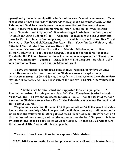operational; the holy temple will be built and the sacrifices will commence. Tens of thousands if not hundreds of thousands of Responsa and commentaries on the Talmud and Shulchan Aruch were penned over the last thousands of years. Many of these responsa are summarizes in Otzer Haposkim on Even Hoehzer Pischei Tsuvah and Gilyonot of Rav Akiva Eiger Hasholom on four parts of the Shulchan Aruch . Some of the responsa penned over the last century are those by Rav Yitzchok Elchonon Spector, Rav Yudelevitz, Rav Henkin, Rav Moshe Feinstein, Rav Yitzchok Herzog, Rav Uziel, Rav Yeciel Yaakov Weinberg- the Shreidei Esh, Rav Mordecai Yaakov Breish- the

the Chelkos Yaakov and Rav Gorin the Mashiv Milchomo, and Rav Eliezer Berkovitz in Tnai Benesuin Ubeget. Let us mention the Israeli journals Torah She Bal Peh and Noam that have leading scholars express their Torah view on many contempory burning issues in Israel and diaspora that relate to the very survival of Torah Jews and the State iof Israel.

I have attempted to summarize some of these responsa in my five volumes called Responsa on the Four Parts of the Shulchan Aruch. I explore very controversial areas of Jewish law as the reader will discover once he or she reviews my table of contents. All my books except for one are in Engish. One volume is in hebrew.

A kollel must be established and supported for such a purpose. A foundation exists for this purpose. It is Bais Meir Menachem Sender Latorah Vehoroah, Inc. I have endorsements to form a kollel for the study of the four parts of the Shulchan Aruch from Rav Moshe Feinstein Rav Yaakov Kminecki and Rav Yisroel Pikarski.

We plan to pay scholars the sum of 2,000 per month or 24,000 a year to devote  $4$ hours a day to the study of the four parts of the Shulchan Aruch; all the talmudic references and references to other parts of the Shulchan Aruch; study in depth all the tractates of the talmud; and all the responsa over the last 1500 years. It takes 10 years to master the 4 parts of the Shulchan Aruch. In that way we will ensure the survival of Klal Yisroel -the Jewish people.

We ask all Jews to contribute in the support of this mission.

MAY G-D bless you with eternal happiness success in all your endeavors heath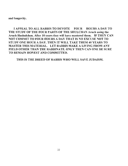and longevity.

I APPEAL TO ALL RABBIS TO DEVOTE FOUR HOURS A DAY TO THE STUDY OF THE FOUR PARTS OF THE SHULCHAN Aruch using the Aruch Hashulchon. After 10 years they will have mastered them. IF THEY CAN NOT COMMIT TO FOUR HOURS A DAY THAT IS NO EXCUSE NOT TO STUDY ONE HOUR A DAY. THEN IT WILL TAKE THEM 40 YEARS TO MASTER THIS MATERIAL. LET RABBIS MAKE A LIVING FROM ANY FIELD OTHER THAN THE RABBINATE. ONLY THEN CAN ONE BE SURE TO REMAIN HONEST AND COMMITTED.

THIS IS THE BREED OF RABBIS WHO WILL SAVE JUDAISM.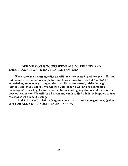### OUR MISSION IS TO PRESERVE ALL MARRIAGES AND ENCOURAGE JEWS TO HAVE LARGE FAMILIES.

However when a marriage dies we will turn heaven and earth to save it. If it can not be saved we invite the couple to come to us so we can work out a mutually accepted agreement regarding all the marital assets custody visitation rights alimony and child support. We wil then administer a Get and recommend a marriage attorney to get a civil divorce. In the contingency that one of the spouses does not cooperate. We will turn heaven and earth to find a halahic loophole to free the spouse who is held hostage.<br>E MAIL US AT betdin @agunah.com

EMAIL US AT betdin @agunah.com or mosbemorgenstern@yahoo. com FOR ALL YOUR INQUIRIES AND NEEDS.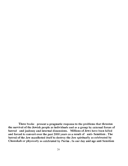These books present a pragmatic response to the problems that threaten the survival of the Jewish people as individuals and as a group by external forces of hatred and jealousy and internal dissensions. Millions of Jews have been killed and forced to convert over the past 2000 years as a result of anti- Semitism. The hatred of the Jew manifested itself to destroy the Jew spiritually as celebrated by Chanukah or physically as celebrated by Purim. In our day and age anti Semitism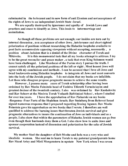culminated in the holocaust and its new form of anti Zionism and not acceptance of the rights of Jews to an independent Jewish State -Israel.

We are equally destroyed by ignorance and apathy of Jewish Laws and practices and cease to identify as Jews. This leads to intermarriage and assimilation.

As though all these problems are not enough; our insides are torn out by internal dissension, non acceptance of other Jews, intolerance and short sighted polarization of positions without researching the Halachic loopholes available to post facto accommodate opposing viewpoints without accepting, necessarily, a position about Judaism that is a denial of the Divine character of Torah and Mitzvohs. It is this monumental task that all my books attempt to address. I try to be the great reconciler and peace maker, a task that even King Solomon would have been challenged. Like Mordecai of the Purim story I pursue the truth. I cannot satisfy all the polarized positions of the left or right. Most honest Jews will agree with my conclusions and methods. I can be accused that I love all Jews and bend backwards-using Halachic loopholes to integrate all Jews and most converts into the body of the Jewish people. I do not claim that my books are infallible. Let those who disagree propose pragmatic means to achieve the same results.

, I possess many years of Torah scholarship after having been ordained by Rav Moshe Feinstein head of Yeshiva Tifereth Yerushelayim and greatest decisor of the twentieth century. I also was ordained by Rav Kushelevitz and Rav Schorr at the Mesivta Torah Vodaath Rabbinical School, where I studied for over ten years. I have the approbation of Rav Piekarski on my books -Responsa -Four Parts of the Shulchan Aruch; Rav Steinberg from Rehovot Israel signed numerous responsa that I prepared regarding freeing Agunot. Rav Moshe Feinstein gave his approbation on two books that I wrote. I therefore am well qualified to address the burning issues that threaten Jewish survival and give pragmatic alternatives to insure the continuation of Jews as individuals and as a people. I also show that within the parameters of Halacha Jewish women can go free even though their husbands deny them a Get. I also show how to unite Jews and sponsor cooperation instead of dissension and polarization for the sake of Jewish survival.

My mother Sisel the daughter of Reb Moshe and leda was a very wise and idealistic woman. She sent me to learn Torah to my paternal grandparents home Rav Shaul Ariey and Miril Morgenstern in upstate New York when I was seven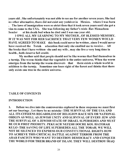years old. She unfortunately was not able to see me for another seven years. She had no other alternative, there did not exist any yeshivot in Mexico. where I was born . The laws of immigration were so strict then that it took seven years until she got a visa to come to the USA. She was following my father's wish- Rav Menachem Sender at his death bed when he died and I was one year old.

lOWE MY LEARNING TO MY MOTHER, OF BLESSED MEMORY. IF IT WAS NOT FOR HER SACRIFICE THAT VERY FEW WOMEN WOULD HAVE AGREED TO MAKE this book could never be written, since I would never have received the Torah education that only she enabled me to receive. All the books that I have written- she and my wife, may she live a very long time in health, both deserve full credit.

My mother said that people should not be like worms that find themselves in a turnip. The worm thinks that the vegetable is the entire universe, When the worm emerges from the turnip the worm discovers that there exists a whole world in addition to the turnip. Sometime one loses sight of the forest and thinks that there only exists one tree in the entire universe.

### TABLE OF CONTENTS

### INTRODUCTION

1. Before we dive into the controversies explored in these responsa we must first set our bearings. Let there be no mistake -THE SURVIVAL OF THE USA AND ALL ITS CITIZENS REGARDLESS OF RELIGION RACE SEX OR NATIONAL ORIGIN AS WELL AS JEWISH UNITY AND SURVIVAL OF EVERY JEW AND THE SURVIVAL OF A JEWISH STATE OF ISRAEL SUPERSEDES AND MUST BE OUR FIRST PRIORITY. PEKUACH NEFESH DOCHE KOL HATORAH KULO -THE SAVING OF LIFE SUPERSEDES ALL TORAH. WE WILL NOT BE SILENCED TO EXPRESS OUR CONSTITUTIONAL RIGHTS HOW TO ACHIEVE THIS CRITICAL BATTLE AGAINST TERROR FROM THE ARAB FASCISTS WHO WANT TO DESTROY DEMOCRACY AND CONQUER THE WORLD FOR THEIR BRAND OF ISLAM. THEY WILL DESTROY IRAQ